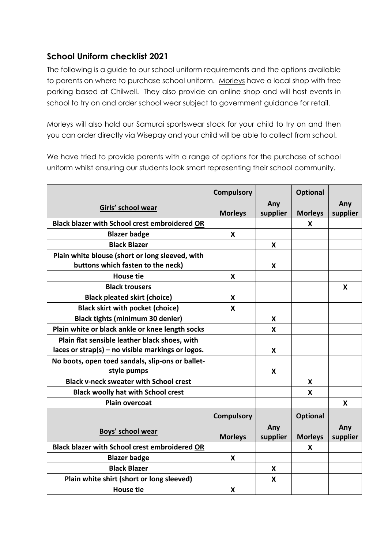## **School Uniform checklist 2021**

The following is a guide to our school uniform requirements and the options available to parents on where to purchase school uniform. [Morleys](https://www.schoolwearsolutions.com/our-stores/) have a local shop with free parking based at Chilwell. They also provide an online shop and will host events in school to try on and order school wear subject to government guidance for retail.

Morleys will also hold our Samurai sportswear stock for your child to try on and then you can order directly via Wisepay and your child will be able to collect from school.

We have tried to provide parents with a range of options for the purchase of school uniform whilst ensuring our students look smart representing their school community.

|                                                                                                    | <b>Compulsory</b> |                 | <b>Optional</b> |                 |
|----------------------------------------------------------------------------------------------------|-------------------|-----------------|-----------------|-----------------|
| Girls' school wear                                                                                 | <b>Morleys</b>    | Any<br>supplier | <b>Morleys</b>  | Any<br>supplier |
| <b>Black blazer with School crest embroidered OR</b>                                               |                   |                 | X               |                 |
| <b>Blazer badge</b>                                                                                | X                 |                 |                 |                 |
| <b>Black Blazer</b>                                                                                |                   | X               |                 |                 |
| Plain white blouse (short or long sleeved, with<br>buttons which fasten to the neck)               |                   | X               |                 |                 |
| <b>House tie</b>                                                                                   | X                 |                 |                 |                 |
| <b>Black trousers</b>                                                                              |                   |                 |                 | X               |
| <b>Black pleated skirt (choice)</b>                                                                | X                 |                 |                 |                 |
| <b>Black skirt with pocket (choice)</b>                                                            | X                 |                 |                 |                 |
| <b>Black tights (minimum 30 denier)</b>                                                            |                   | X               |                 |                 |
| Plain white or black ankle or knee length socks                                                    |                   | X               |                 |                 |
| Plain flat sensible leather black shoes, with<br>laces or strap(s) – no visible markings or logos. |                   | X               |                 |                 |
| No boots, open toed sandals, slip-ons or ballet-<br>style pumps                                    |                   | X               |                 |                 |
| <b>Black v-neck sweater with School crest</b>                                                      |                   |                 | X               |                 |
| <b>Black woolly hat with School crest</b>                                                          |                   |                 | X               |                 |
| <b>Plain overcoat</b>                                                                              |                   |                 |                 | X               |
|                                                                                                    | <b>Compulsory</b> |                 | <b>Optional</b> |                 |
| Boys' school wear                                                                                  | <b>Morleys</b>    | Any<br>supplier | <b>Morleys</b>  | Any<br>supplier |
| <b>Black blazer with School crest embroidered OR</b>                                               |                   |                 | X               |                 |
| <b>Blazer badge</b>                                                                                | X                 |                 |                 |                 |
| <b>Black Blazer</b>                                                                                |                   | X               |                 |                 |
| Plain white shirt (short or long sleeved)                                                          |                   | X               |                 |                 |
| <b>House tie</b>                                                                                   | X                 |                 |                 |                 |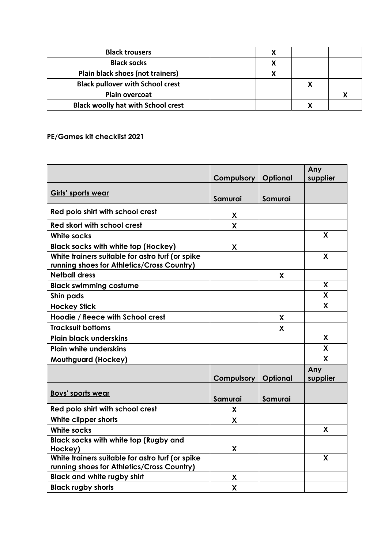| <b>Black trousers</b>                     |  |  |
|-------------------------------------------|--|--|
| <b>Black socks</b>                        |  |  |
| Plain black shoes (not trainers)          |  |  |
| <b>Black pullover with School crest</b>   |  |  |
| <b>Plain overcoat</b>                     |  |  |
| <b>Black woolly hat with School crest</b> |  |  |

## **PE/Games kit checklist 2021**

|                                                                                                | Compulsory | Optional | Any<br>supplier |
|------------------------------------------------------------------------------------------------|------------|----------|-----------------|
|                                                                                                |            |          |                 |
| <b>Girls' sports wear</b>                                                                      | Samurai    | Samurai  |                 |
| Red polo shirt with school crest                                                               | X          |          |                 |
| Red skort with school crest                                                                    | X          |          |                 |
| <b>White socks</b>                                                                             |            |          | X               |
| <b>Black socks with white top (Hockey)</b>                                                     | X          |          |                 |
| White trainers suitable for astro turf (or spike<br>running shoes for Athletics/Cross Country) |            |          | X               |
| <b>Netball dress</b>                                                                           |            | X        |                 |
| <b>Black swimming costume</b>                                                                  |            |          | X               |
| Shin pads                                                                                      |            |          | X               |
| <b>Hockey Stick</b>                                                                            |            |          | X               |
| Hoodie / fleece with School crest                                                              |            | X        |                 |
| <b>Tracksuit bottoms</b>                                                                       |            | X        |                 |
| <b>Plain black underskins</b>                                                                  |            |          | X               |
| <b>Plain white underskins</b>                                                                  |            |          | X               |
| Mouthguard (Hockey)                                                                            |            |          | $\mathbf{x}$    |
|                                                                                                | Compulsory | Optional | Any<br>supplier |
| <b>Boys' sports wear</b>                                                                       | Samurai    | Samurai  |                 |
| Red polo shirt with school crest                                                               | X          |          |                 |
| White clipper shorts                                                                           | X          |          |                 |
| <b>White socks</b>                                                                             |            |          | X               |
| <b>Black socks with white top (Rugby and</b><br>Hockey)                                        | X          |          |                 |
| White trainers suitable for astro turf (or spike<br>running shoes for Athletics/Cross Country) |            |          | X               |
| <b>Black and white rugby shirt</b>                                                             | X          |          |                 |
| <b>Black rugby shorts</b>                                                                      | X          |          |                 |